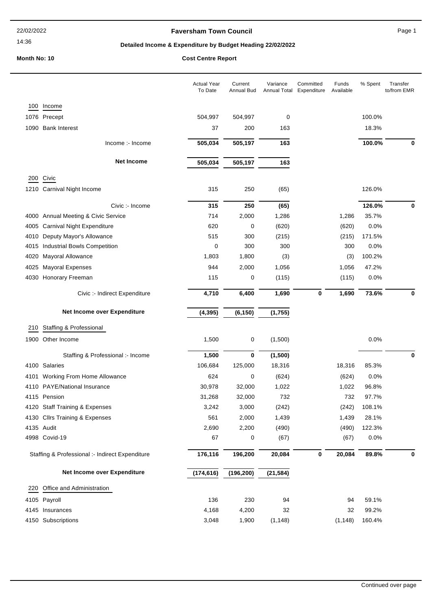#### 14:36

## **Faversham Town Council Canadian Council** Page 1

# **Detailed Income & Expenditure by Budget Heading 22/02/2022**

|      |                                                 | <b>Actual Year</b><br>To Date | Current<br>Annual Bud | Variance<br>Annual Total | Committed<br>Expenditure | Funds<br>Available | % Spent | Transfer<br>to/from EMR |
|------|-------------------------------------------------|-------------------------------|-----------------------|--------------------------|--------------------------|--------------------|---------|-------------------------|
| 100  | Income                                          |                               |                       |                          |                          |                    |         |                         |
|      | 1076 Precept                                    | 504,997                       | 504,997               | 0                        |                          |                    | 100.0%  |                         |
|      | 1090 Bank Interest                              | 37                            | 200                   | 163                      |                          |                    | 18.3%   |                         |
|      | Income :- Income                                | 505,034                       | 505,197               | 163                      |                          |                    | 100.0%  | 0                       |
|      | <b>Net Income</b>                               | 505,034                       | 505,197               | 163                      |                          |                    |         |                         |
|      | 200 Civic                                       |                               |                       |                          |                          |                    |         |                         |
|      | 1210 Carnival Night Income                      | 315                           | 250                   | (65)                     |                          |                    | 126.0%  |                         |
|      | Civic :- Income                                 | 315                           | 250                   | (65)                     |                          |                    | 126.0%  | 0                       |
|      | 4000 Annual Meeting & Civic Service             | 714                           | 2,000                 | 1,286                    |                          | 1,286              | 35.7%   |                         |
|      | 4005 Carnival Night Expenditure                 | 620                           | 0                     | (620)                    |                          | (620)              | 0.0%    |                         |
|      | 4010 Deputy Mayor's Allowance                   | 515                           | 300                   | (215)                    |                          | (215)              | 171.5%  |                         |
| 4015 | <b>Industrial Bowls Competition</b>             | 0                             | 300                   | 300                      |                          | 300                | 0.0%    |                         |
| 4020 | Mayoral Allowance                               | 1,803                         | 1,800                 | (3)                      |                          | (3)                | 100.2%  |                         |
| 4025 | <b>Mayoral Expenses</b>                         | 944                           | 2,000                 | 1,056                    |                          | 1,056              | 47.2%   |                         |
|      | 4030 Honorary Freeman                           | 115                           | 0                     | (115)                    |                          | (115)              | 0.0%    |                         |
|      | Civic :- Indirect Expenditure                   | 4,710                         | 6,400                 | 1,690                    | $\bf{0}$                 | 1,690              | 73.6%   | 0                       |
|      | Net Income over Expenditure                     | (4, 395)                      | (6, 150)              | (1,755)                  |                          |                    |         |                         |
| 210  | Staffing & Professional                         |                               |                       |                          |                          |                    |         |                         |
|      | 1900 Other Income                               | 1,500                         | 0                     | (1,500)                  |                          |                    | 0.0%    |                         |
|      | Staffing & Professional :- Income               | 1,500                         | $\bf{0}$              | (1,500)                  |                          |                    |         | 0                       |
|      | 4100 Salaries                                   | 106,684                       | 125,000               | 18,316                   |                          | 18,316             | 85.3%   |                         |
|      | 4101 Working From Home Allowance                | 624                           | 0                     | (624)                    |                          | (624)              | 0.0%    |                         |
|      | 4110 PAYE/National Insurance                    | 30,978                        | 32,000                | 1,022                    |                          | 1,022              | 96.8%   |                         |
|      | 4115 Pension                                    | 31,268                        | 32,000                | 732                      |                          | 732                | 97.7%   |                         |
|      | 4120 Staff Training & Expenses                  | 3,242                         | 3,000                 | (242)                    |                          | (242)              | 108.1%  |                         |
|      | 4130 Cllrs Training & Expenses                  | 561                           | 2,000                 | 1,439                    |                          | 1,439              | 28.1%   |                         |
|      | 4135 Audit                                      | 2,690                         | 2,200                 | (490)                    |                          | (490)              | 122.3%  |                         |
|      | 4998 Covid-19                                   | 67                            | 0                     | (67)                     |                          | (67)               | 0.0%    |                         |
|      | Staffing & Professional :- Indirect Expenditure | 176,116                       | 196,200               | 20,084                   | 0                        | 20,084             | 89.8%   | 0                       |
|      | Net Income over Expenditure                     | (174, 616)                    | (196, 200)            | (21, 584)                |                          |                    |         |                         |
| 220  | Office and Administration                       |                               |                       |                          |                          |                    |         |                         |
|      | 4105 Payroll                                    | 136                           | 230                   | 94                       |                          | 94                 | 59.1%   |                         |
|      | 4145 Insurances                                 | 4,168                         | 4,200                 | 32                       |                          | 32                 | 99.2%   |                         |
|      | 4150 Subscriptions                              | 3,048                         | 1,900                 | (1, 148)                 |                          | (1, 148)           | 160.4%  |                         |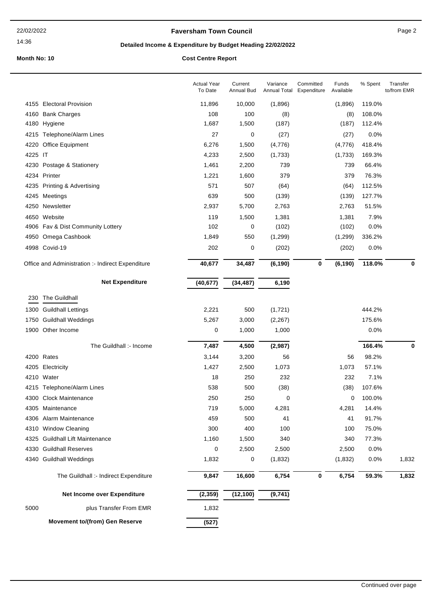14:36

## **Faversham Town Council Canadian Council** Page 2

# **Detailed Income & Expenditure by Budget Heading 22/02/2022**

|         |                                                   | <b>Actual Year</b><br>To Date | Current<br>Annual Bud | Variance<br>Annual Total | Committed<br>Expenditure | Funds<br>Available | % Spent | Transfer<br>to/from EMR |
|---------|---------------------------------------------------|-------------------------------|-----------------------|--------------------------|--------------------------|--------------------|---------|-------------------------|
|         | 4155 Electoral Provision                          | 11,896                        | 10,000                | (1,896)                  |                          | (1,896)            | 119.0%  |                         |
|         | 4160 Bank Charges                                 | 108                           | 100                   | (8)                      |                          | (8)                | 108.0%  |                         |
|         | 4180 Hygiene                                      | 1,687                         | 1,500                 | (187)                    |                          | (187)              | 112.4%  |                         |
|         | 4215 Telephone/Alarm Lines                        | 27                            | 0                     | (27)                     |                          | (27)               | 0.0%    |                         |
|         | 4220 Office Equipment                             | 6,276                         | 1,500                 | (4,776)                  |                          | (4,776)            | 418.4%  |                         |
| 4225 IT |                                                   | 4,233                         | 2,500                 | (1,733)                  |                          | (1,733)            | 169.3%  |                         |
|         | 4230 Postage & Stationery                         | 1,461                         | 2,200                 | 739                      |                          | 739                | 66.4%   |                         |
|         | 4234 Printer                                      | 1,221                         | 1,600                 | 379                      |                          | 379                | 76.3%   |                         |
|         | 4235 Printing & Advertising                       | 571                           | 507                   | (64)                     |                          | (64)               | 112.5%  |                         |
|         | 4245 Meetings                                     | 639                           | 500                   | (139)                    |                          | (139)              | 127.7%  |                         |
|         | 4250 Newsletter                                   | 2,937                         | 5,700                 | 2,763                    |                          | 2,763              | 51.5%   |                         |
|         | 4650 Website                                      | 119                           | 1,500                 | 1,381                    |                          | 1,381              | 7.9%    |                         |
|         | 4906 Fav & Dist Community Lottery                 | 102                           | 0                     | (102)                    |                          | (102)              | 0.0%    |                         |
|         | 4950 Omega Cashbook                               | 1,849                         | 550                   | (1, 299)                 |                          | (1, 299)           | 336.2%  |                         |
|         | 4998 Covid-19                                     | 202                           | 0                     | (202)                    |                          | (202)              | 0.0%    |                         |
|         | Office and Administration :- Indirect Expenditure | 40,677                        | 34,487                | (6, 190)                 | $\pmb{0}$                | (6, 190)           | 118.0%  | $\mathbf 0$             |
|         | <b>Net Expenditure</b>                            | (40, 677)                     | (34, 487)             | 6,190                    |                          |                    |         |                         |
| 230     | The Guildhall                                     |                               |                       |                          |                          |                    |         |                         |
|         | 1300 Guildhall Lettings                           | 2,221                         | 500                   | (1,721)                  |                          |                    | 444.2%  |                         |
|         | 1750 Guildhall Weddings                           | 5,267                         | 3,000                 | (2, 267)                 |                          |                    | 175.6%  |                         |
|         | 1900 Other Income                                 | 0                             | 1,000                 | 1,000                    |                          |                    | 0.0%    |                         |
|         |                                                   |                               |                       |                          |                          |                    |         |                         |
|         | The Guildhall :- Income                           | 7,487                         | 4,500                 | (2,987)                  |                          |                    | 166.4%  | 0                       |
|         | 4200 Rates                                        | 3,144                         | 3,200                 | 56                       |                          | 56                 | 98.2%   |                         |
|         | 4205 Electricity                                  | 1,427                         | 2,500                 | 1,073                    |                          | 1,073              | 57.1%   |                         |
|         | 4210 Water                                        | 18                            | 250                   | 232                      |                          | 232                | 7.1%    |                         |
|         | 4215 Telephone/Alarm Lines                        | 538                           | 500                   | (38)                     |                          | (38)               | 107.6%  |                         |
|         | 4300 Clock Maintenance                            | 250                           | 250                   | 0                        |                          | 0                  | 100.0%  |                         |
|         | 4305 Maintenance                                  | 719                           | 5,000                 | 4,281                    |                          | 4,281              | 14.4%   |                         |
|         | 4306 Alarm Maintenance                            | 459                           | 500                   | 41                       |                          | 41                 | 91.7%   |                         |
|         | 4310 Window Cleaning                              | 300                           | 400                   | 100                      |                          | 100                | 75.0%   |                         |
|         | 4325 Guildhall Lift Maintenance                   | 1,160                         | 1,500                 | 340                      |                          | 340                | 77.3%   |                         |
|         | 4330 Guildhall Reserves                           | 0                             | 2,500                 | 2,500                    |                          | 2,500              | 0.0%    |                         |
|         | 4340 Guildhall Weddings                           | 1,832                         | 0                     | (1,832)                  |                          | (1,832)            | 0.0%    | 1,832                   |
|         | The Guildhall :- Indirect Expenditure             | 9,847                         | 16,600                | 6,754                    | 0                        | 6,754              | 59.3%   | 1,832                   |
|         | Net Income over Expenditure                       | (2, 359)                      | (12, 100)             | (9,741)                  |                          |                    |         |                         |
| 5000    | plus Transfer From EMR                            | 1,832                         |                       |                          |                          |                    |         |                         |
|         | <b>Movement to/(from) Gen Reserve</b>             | (527)                         |                       |                          |                          |                    |         |                         |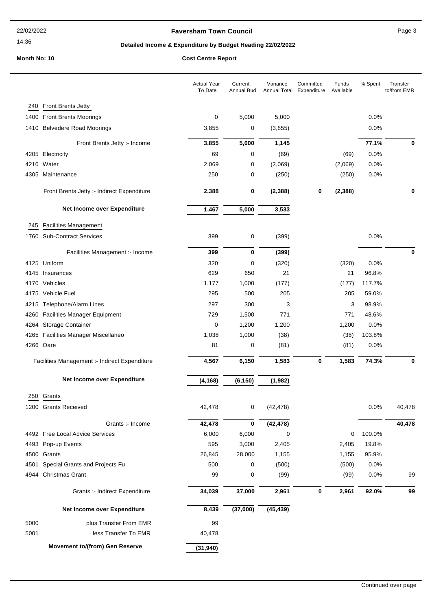#### 14:36

## **Faversham Town Council Canadian Council** Page 3

# **Detailed Income & Expenditure by Budget Heading 22/02/2022**

|      |                                               | <b>Actual Year</b><br>To Date | Current<br>Annual Bud | Variance<br><b>Annual Total</b> | Committed<br>Expenditure | Funds<br>Available | % Spent | Transfer<br>to/from EMR |
|------|-----------------------------------------------|-------------------------------|-----------------------|---------------------------------|--------------------------|--------------------|---------|-------------------------|
| 240  | <b>Front Brents Jetty</b>                     |                               |                       |                                 |                          |                    |         |                         |
|      | 1400 Front Brents Moorings                    | 0                             | 5,000                 | 5,000                           |                          |                    | 0.0%    |                         |
|      | 1410 Belvedere Road Moorings                  | 3,855                         | 0                     | (3, 855)                        |                          |                    | 0.0%    |                         |
|      | Front Brents Jetty :- Income                  | 3,855                         | 5,000                 | 1,145                           |                          |                    | 77.1%   | 0                       |
|      | 4205 Electricity                              | 69                            | 0                     | (69)                            |                          | (69)               | 0.0%    |                         |
|      | 4210 Water                                    | 2,069                         | 0                     | (2,069)                         |                          | (2,069)            | 0.0%    |                         |
|      | 4305 Maintenance                              | 250                           | 0                     | (250)                           |                          | (250)              | 0.0%    |                         |
|      |                                               |                               |                       |                                 |                          |                    |         |                         |
|      | Front Brents Jetty :- Indirect Expenditure    | 2,388                         | 0                     | (2, 388)                        | 0                        | (2, 388)           |         | 0                       |
|      | Net Income over Expenditure                   | 1,467                         | 5,000                 | 3,533                           |                          |                    |         |                         |
| 245  | <b>Facilities Management</b>                  |                               |                       |                                 |                          |                    |         |                         |
|      | 1760 Sub-Contract Services                    | 399                           | 0                     | (399)                           |                          |                    | 0.0%    |                         |
|      | Facilities Management :- Income               | 399                           | 0                     | (399)                           |                          |                    |         | 0                       |
|      | 4125 Uniform                                  | 320                           | 0                     | (320)                           |                          | (320)              | 0.0%    |                         |
|      | 4145 Insurances                               | 629                           | 650                   | 21                              |                          | 21                 | 96.8%   |                         |
|      | 4170 Vehicles                                 | 1,177                         | 1,000                 | (177)                           |                          | (177)              | 117.7%  |                         |
|      | 4175 Vehicle Fuel                             | 295                           | 500                   | 205                             |                          | 205                | 59.0%   |                         |
| 4215 | Telephone/Alarm Lines                         | 297                           | 300                   | 3                               |                          | 3                  | 98.9%   |                         |
| 4260 | <b>Facilities Manager Equipment</b>           | 729                           | 1,500                 | 771                             |                          | 771                | 48.6%   |                         |
| 4264 | <b>Storage Container</b>                      | 0                             | 1,200                 | 1,200                           |                          | 1,200              | 0.0%    |                         |
|      | 4265 Facilities Manager Miscellaneo           | 1,038                         | 1,000                 | (38)                            |                          | (38)               | 103.8%  |                         |
|      | 4266 Oare                                     | 81                            | 0                     | (81)                            |                          | (81)               | 0.0%    |                         |
|      | Facilities Management :- Indirect Expenditure | 4,567                         | 6,150                 | 1,583                           | $\mathbf 0$              | 1,583              | 74.3%   | 0                       |
|      | Net Income over Expenditure                   | (4, 168)                      | (6, 150)              | (1, 982)                        |                          |                    |         |                         |
| 250  | Grants                                        |                               |                       |                                 |                          |                    |         |                         |
|      | 1200 Grants Received                          | 42,478                        | 0                     | (42, 478)                       |                          |                    | 0.0%    | 40,478                  |
|      |                                               |                               |                       |                                 |                          |                    |         |                         |
|      | Grants :- Income                              | 42,478                        | 0                     | (42, 478)                       |                          |                    |         | 40,478                  |
|      | 4492 Free Local Advice Services               | 6,000                         | 6,000                 | 0                               |                          | 0                  | 100.0%  |                         |
|      | 4493 Pop-up Events                            | 595                           | 3,000                 | 2,405                           |                          | 2,405              | 19.8%   |                         |
|      | 4500 Grants                                   | 26,845                        | 28,000                | 1,155                           |                          | 1,155              | 95.9%   |                         |
|      | 4501 Special Grants and Projects Fu           | 500                           | 0                     | (500)                           |                          | (500)              | 0.0%    |                         |
|      | 4944 Christmas Grant                          | 99                            | 0                     | (99)                            |                          | (99)               | 0.0%    | 99                      |
|      | Grants :- Indirect Expenditure                | 34,039                        | 37,000                | 2,961                           | $\bf{0}$                 | 2,961              | 92.0%   | 99                      |
|      | Net Income over Expenditure                   | 8,439                         | (37,000)              | (45, 439)                       |                          |                    |         |                         |
| 5000 | plus Transfer From EMR                        | 99                            |                       |                                 |                          |                    |         |                         |
| 5001 | less Transfer To EMR                          | 40,478                        |                       |                                 |                          |                    |         |                         |
|      | <b>Movement to/(from) Gen Reserve</b>         | (31, 940)                     |                       |                                 |                          |                    |         |                         |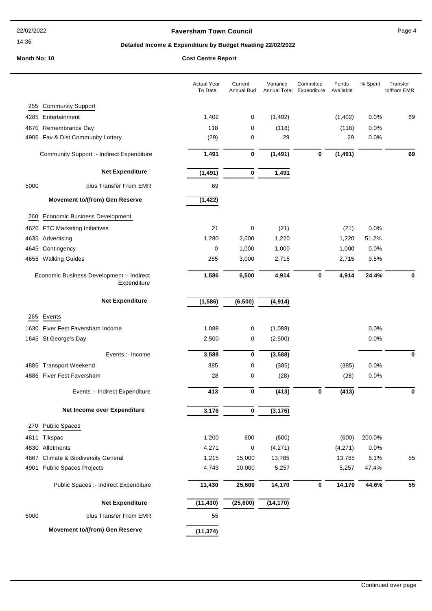#### 14:36

## **Faversham Town Council Canadian Council** Page 4

# **Detailed Income & Expenditure by Budget Heading 22/02/2022**

## **Month No: 10**

|  |  | <b>Cost Centre Report</b> |
|--|--|---------------------------|
|--|--|---------------------------|

|      |                                                          | <b>Actual Year</b><br>To Date | Current<br>Annual Bud | Variance  | Committed<br>Annual Total Expenditure | Funds<br>Available | % Spent | Transfer<br>to/from EMR |
|------|----------------------------------------------------------|-------------------------------|-----------------------|-----------|---------------------------------------|--------------------|---------|-------------------------|
| 255  | <b>Community Support</b>                                 |                               |                       |           |                                       |                    |         |                         |
| 4285 | Entertainment                                            | 1,402                         | 0                     | (1,402)   |                                       | (1,402)            | 0.0%    | 69                      |
| 4670 | Remembrance Day                                          | 118                           | 0                     | (118)     |                                       | (118)              | 0.0%    |                         |
|      | 4906 Fav & Dist Community Lottery                        | (29)                          | 0                     | 29        |                                       | 29                 | 0.0%    |                         |
|      | <b>Community Support :- Indirect Expenditure</b>         | 1,491                         | 0                     | (1, 491)  | $\bf{0}$                              | (1, 491)           |         | 69                      |
|      | <b>Net Expenditure</b>                                   | (1, 491)                      | $\bf{0}$              | 1,491     |                                       |                    |         |                         |
| 5000 | plus Transfer From EMR                                   | 69                            |                       |           |                                       |                    |         |                         |
|      | <b>Movement to/(from) Gen Reserve</b>                    | (1, 422)                      |                       |           |                                       |                    |         |                         |
| 260  | <b>Economic Business Development</b>                     |                               |                       |           |                                       |                    |         |                         |
| 4620 | <b>FTC Marketing Initiatives</b>                         | 21                            | 0                     | (21)      |                                       | (21)               | 0.0%    |                         |
| 4635 | Advertising                                              | 1,280                         | 2,500                 | 1,220     |                                       | 1,220              | 51.2%   |                         |
| 4645 | Contingency                                              | 0                             | 1,000                 | 1,000     |                                       | 1,000              | 0.0%    |                         |
|      | 4655 Walking Guides                                      | 285                           | 3,000                 | 2,715     |                                       | 2,715              | 9.5%    |                         |
|      | Economic Business Development :- Indirect<br>Expenditure | 1,586                         | 6,500                 | 4,914     | $\bf{0}$                              | 4,914              | 24.4%   | 0                       |
|      | <b>Net Expenditure</b>                                   | (1, 586)                      | (6, 500)              | (4, 914)  |                                       |                    |         |                         |
| 265  | Events                                                   |                               |                       |           |                                       |                    |         |                         |
| 1630 | Fiver Fest Faversham Income                              | 1,088                         | 0                     | (1,088)   |                                       |                    | 0.0%    |                         |
|      | 1645 St George's Day                                     | 2,500                         | 0                     | (2,500)   |                                       |                    | 0.0%    |                         |
|      | Events :- Income                                         | 3,588                         | 0                     | (3, 588)  |                                       |                    |         | $\bf{0}$                |
|      | 4885 Transport Weekend                                   | 385                           | 0                     | (385)     |                                       | (385)              | 0.0%    |                         |
|      | 4886 Fiver Fest Faversham                                | 28                            | 0                     | (28)      |                                       | (28)               | 0.0%    |                         |
|      | Events :- Indirect Expenditure                           | 413                           | $\bf{0}$              | (413)     | $\bf{0}$                              | (413)              |         | $\bf{0}$                |
|      | Net Income over Expenditure                              | 3,176                         | 0                     | (3, 176)  |                                       |                    |         |                         |
| 270  | <b>Public Spaces</b>                                     |                               |                       |           |                                       |                    |         |                         |
| 4811 | Tikspac                                                  | 1,200                         | 600                   | (600)     |                                       | (600)              | 200.0%  |                         |
| 4830 | Allotments                                               | 4,271                         | 0                     | (4,271)   |                                       | (4,271)            | 0.0%    |                         |
| 4867 | <b>Climate &amp; Biodiversity General</b>                | 1,215                         | 15,000                | 13,785    |                                       | 13,785             | 8.1%    | 55                      |
| 4901 | <b>Public Spaces Projects</b>                            | 4,743                         | 10,000                | 5,257     |                                       | 5,257              | 47.4%   |                         |
|      | Public Spaces :- Indirect Expenditure                    | 11,430                        | 25,600                | 14,170    | $\mathbf 0$                           | 14,170             | 44.6%   | 55                      |
|      | <b>Net Expenditure</b>                                   | (11, 430)                     | (25, 600)             | (14, 170) |                                       |                    |         |                         |
| 5000 | plus Transfer From EMR                                   | 55                            |                       |           |                                       |                    |         |                         |
|      | Movement to/(from) Gen Reserve                           | (11, 374)                     |                       |           |                                       |                    |         |                         |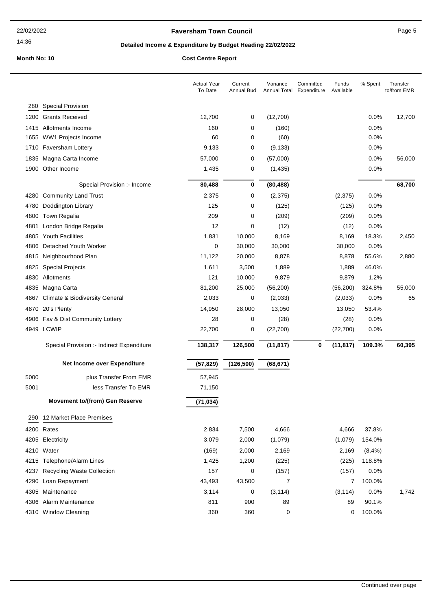#### 14:36

## **Faversham Town Council Canadian Council** Page 5

# **Detailed Income & Expenditure by Budget Heading 22/02/2022**

|      |                                           | <b>Actual Year</b><br>To Date | Current<br>Annual Bud | Variance<br>Annual Total | Committed<br>Funds<br>Expenditure<br>Available | % Spent   | Transfer<br>to/from EMR |
|------|-------------------------------------------|-------------------------------|-----------------------|--------------------------|------------------------------------------------|-----------|-------------------------|
|      | 280 Special Provision                     |                               |                       |                          |                                                |           |                         |
|      | 1200 Grants Received                      | 12,700                        | 0                     | (12,700)                 |                                                | $0.0\%$   | 12,700                  |
|      | 1415 Allotments Income                    | 160                           | 0                     | (160)                    |                                                | 0.0%      |                         |
| 1655 | WW1 Projects Income                       | 60                            | 0                     | (60)                     |                                                | 0.0%      |                         |
|      | 1710 Faversham Lottery                    | 9,133                         | 0                     | (9, 133)                 |                                                | 0.0%      |                         |
| 1835 | Magna Carta Income                        | 57,000                        | 0                     | (57,000)                 |                                                | 0.0%      | 56,000                  |
|      | 1900 Other Income                         | 1,435                         | 0                     | (1, 435)                 |                                                | 0.0%      |                         |
|      | Special Provision :- Income               | 80,488                        | 0                     | (80, 488)                |                                                |           | 68,700                  |
|      | 4280 Community Land Trust                 | 2,375                         | 0                     | (2, 375)                 | (2,375)                                        | 0.0%      |                         |
| 4780 | Doddington Library                        | 125                           | 0                     | (125)                    | (125)                                          | 0.0%      |                         |
|      | 4800 Town Regalia                         | 209                           | 0                     | (209)                    | (209)                                          | 0.0%      |                         |
| 4801 | London Bridge Regalia                     | 12                            | 0                     | (12)                     | (12)                                           | 0.0%      |                         |
| 4805 | <b>Youth Facilities</b>                   | 1,831                         | 10,000                | 8,169                    | 8,169                                          | 18.3%     | 2,450                   |
|      | 4806 Detached Youth Worker                | 0                             | 30,000                | 30,000                   | 30,000                                         | 0.0%      |                         |
| 4815 | Neighbourhood Plan                        | 11,122                        | 20,000                | 8,878                    | 8,878                                          | 55.6%     | 2,880                   |
| 4825 | <b>Special Projects</b>                   | 1,611                         | 3,500                 | 1,889                    | 1,889                                          | 46.0%     |                         |
| 4830 | Allotments                                | 121                           | 10,000                | 9,879                    | 9,879                                          | 1.2%      |                         |
|      | 4835 Magna Carta                          | 81,200                        | 25,000                | (56, 200)                | (56, 200)                                      | 324.8%    | 55,000                  |
| 4867 | <b>Climate &amp; Biodiversity General</b> | 2,033                         | 0                     | (2,033)                  | (2,033)                                        | 0.0%      | 65                      |
|      | 4870 20's Plenty                          | 14,950                        | 28,000                | 13,050                   | 13,050                                         | 53.4%     |                         |
|      | 4906 Fav & Dist Community Lottery         | 28                            | 0                     | (28)                     | (28)                                           | 0.0%      |                         |
|      | 4949 LCWIP                                | 22,700                        | 0                     | (22, 700)                | (22,700)                                       | 0.0%      |                         |
|      | Special Provision :- Indirect Expenditure | 138,317                       | 126,500               | (11, 817)                | 0<br>(11, 817)                                 | 109.3%    | 60,395                  |
|      | Net Income over Expenditure               | (57, 829)                     | (126, 500)            | (68, 671)                |                                                |           |                         |
| 5000 | plus Transfer From EMR                    | 57,945                        |                       |                          |                                                |           |                         |
| 5001 | less Transfer To EMR                      | 71,150                        |                       |                          |                                                |           |                         |
|      | <b>Movement to/(from) Gen Reserve</b>     | (71, 034)                     |                       |                          |                                                |           |                         |
|      | 290 12 Market Place Premises              |                               |                       |                          |                                                |           |                         |
|      | 4200 Rates                                | 2,834                         | 7,500                 | 4,666                    | 4,666                                          | 37.8%     |                         |
|      | 4205 Electricity                          | 3,079                         | 2,000                 | (1,079)                  | (1,079)                                        | 154.0%    |                         |
|      | 4210 Water                                | (169)                         | 2,000                 | 2,169                    | 2,169                                          | $(8.4\%)$ |                         |
|      | 4215 Telephone/Alarm Lines                | 1,425                         | 1,200                 | (225)                    | (225)                                          | 118.8%    |                         |
|      | 4237 Recycling Waste Collection           | 157                           | 0                     | (157)                    | (157)                                          | 0.0%      |                         |
|      | 4290 Loan Repayment                       | 43,493                        | 43,500                | 7                        | 7                                              | 100.0%    |                         |
|      | 4305 Maintenance                          | 3,114                         | 0                     | (3, 114)                 | (3, 114)                                       | 0.0%      | 1,742                   |
|      | 4306 Alarm Maintenance                    | 811                           | 900                   | 89                       | 89                                             | 90.1%     |                         |
|      | 4310 Window Cleaning                      | 360                           | 360                   | 0                        | 0                                              | 100.0%    |                         |